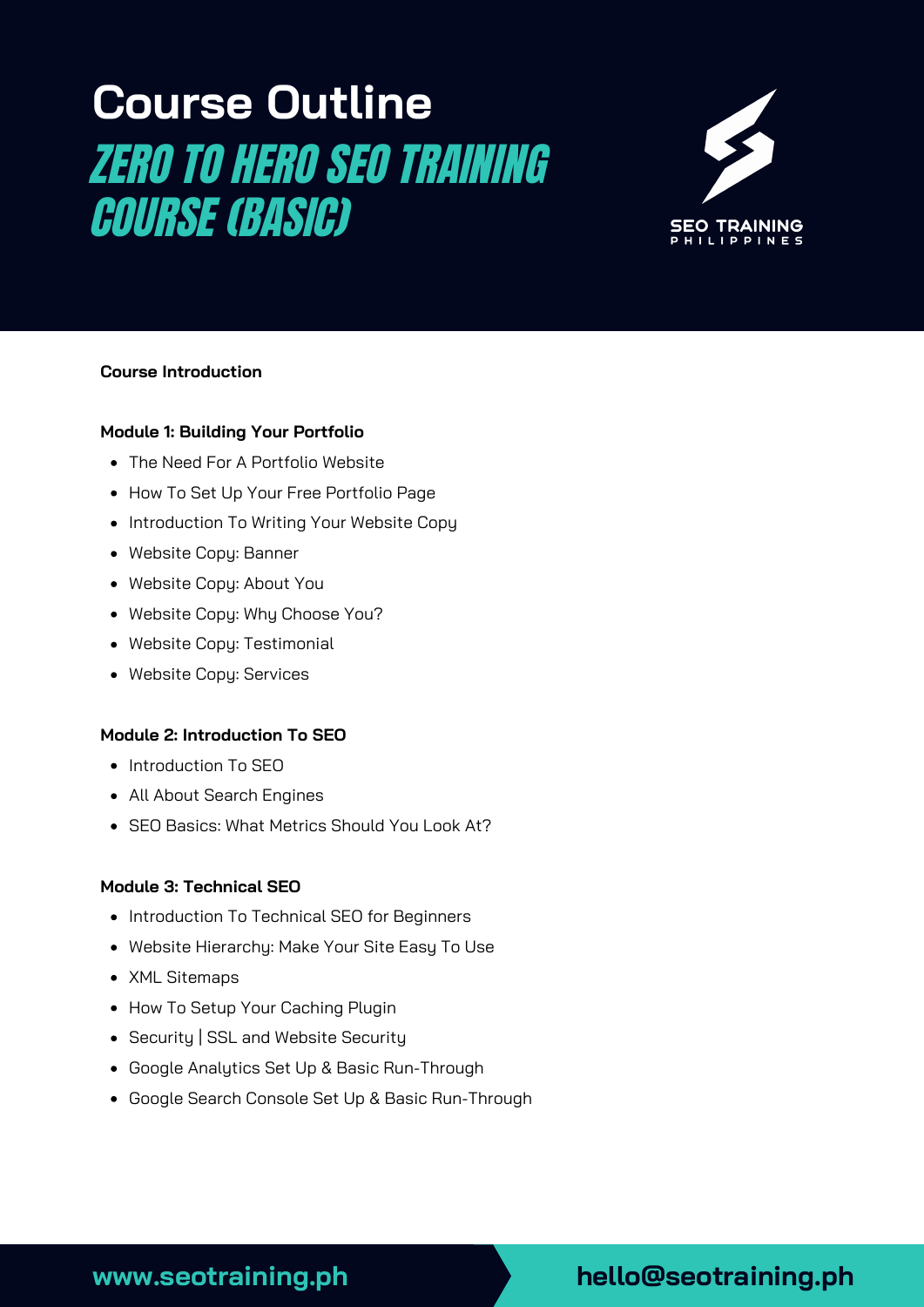# **Course Outline** ZERO TO HERO SEO TRAINING COURSE (BASIC)



## **Course Introduction**

#### **Module 1: Building Your Portfolio**

- The Need For A Portfolio Website
- How To Set Up Your Free Portfolio Page
- Introduction To Writing Your Website Copy
- Website Copy: Banner
- Website Copy: About You
- Website Copy: Why Choose You?
- Website Copy: Testimonial
- Website Copy: Services

#### **Module 2: Introduction To SEO**

- Introduction To SEO
- All About Search Engines
- SEO Basics: What Metrics Should You Look At?

#### **Module 3: Technical SEO**

- Introduction To Technical SEO for Beginners
- Website Hierarchy: Make Your Site Easy To Use
- XML Sitemaps
- How To Setup Your Caching Plugin
- Security | SSL and Website Security
- Google Analytics Set Up & Basic Run-Through
- Google Search Console Set Up & Basic Run-Through

## **www.seotraining.ph hello@seotraining.ph**